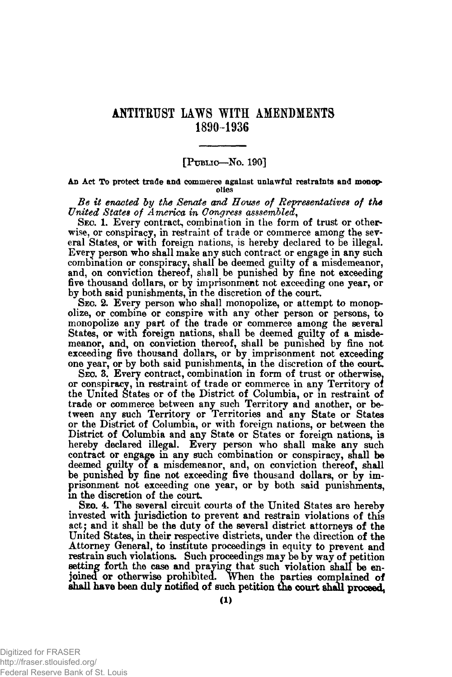## ANTITRUST LAWS WITH AMENDMENTS **1890-1936**

## [PUBLIC—No. 190]

An Act To protect trade and commerce against unlawful restraints and monopolies

*Be it enacted by the Senate and House of Representatives of the United States of America in Congress asssembled*,

Sec. 1. Every contract, combination in the form of trust or otherwise, or conspiracy, in restraint of trade or commerce among the several States, or with foreign nations, is hereby declared to be illegal. Every person who shall make any such contract or engage in any such combination or conspiracy, shall be deemed guilty of a misdemeanor, and, on conviction thereof, shall be punished by fine not exceeding five thousand dollars, or by imprisonment not exceeding one year, or by both said punishments, in the discretion of the court.

Seo. 2. Every person who shall monopolize, or attempt to monopolize, or combine or conspire with any other person or persons, to monopolize any part of the trade or commerce among the several States, or with foreign nations, shall be deemed guilty of a misdemeanor, and, on conviction thereof, shall be punished by fine not exceeding five thousand dollars, or by imprisonment not exceeding one year, or by both said punishments, in the discretion of the court.

Seo. 3. Every contract, combination in form of trust or otherwise, or conspiracy, in restraint of trade or commerce in any Territory of the United States or of the District of Columbia, or in restraint of trade or commerce between any such Territory and another, or between any such Territory or Territories and any State or States or the District of Columbia, or with foreign nations, or between the District of Columbia and any State or States or foreign nations, is hereby declared illegal. Every person who shall make any such contract or engage in any such combination or conspiracy, shall be deemed guilty of a misdemeanor, and, on conviction thereof, shall be punished by fine not exceeding five thousand dollars, or by imprisonment not exceeding one year, or by both said punishments, in the discretion of the court

Seo. 4. The several circuit courts of the United States are hereby invested with jurisdiction to prevent and restrain violations of this act; and it shall be the duty of the several district attorneys of the United States, in their respective districts, under the direction of the Attorney General, to institute proceedings in equity to prevent and restrain such violations. Such proceedings may be by way of petition setting forth the case and praying that such violation shall be enjoined or otherwise prohibited, when the parties complained of shall have been duly notified of such petition the court shall proceed,